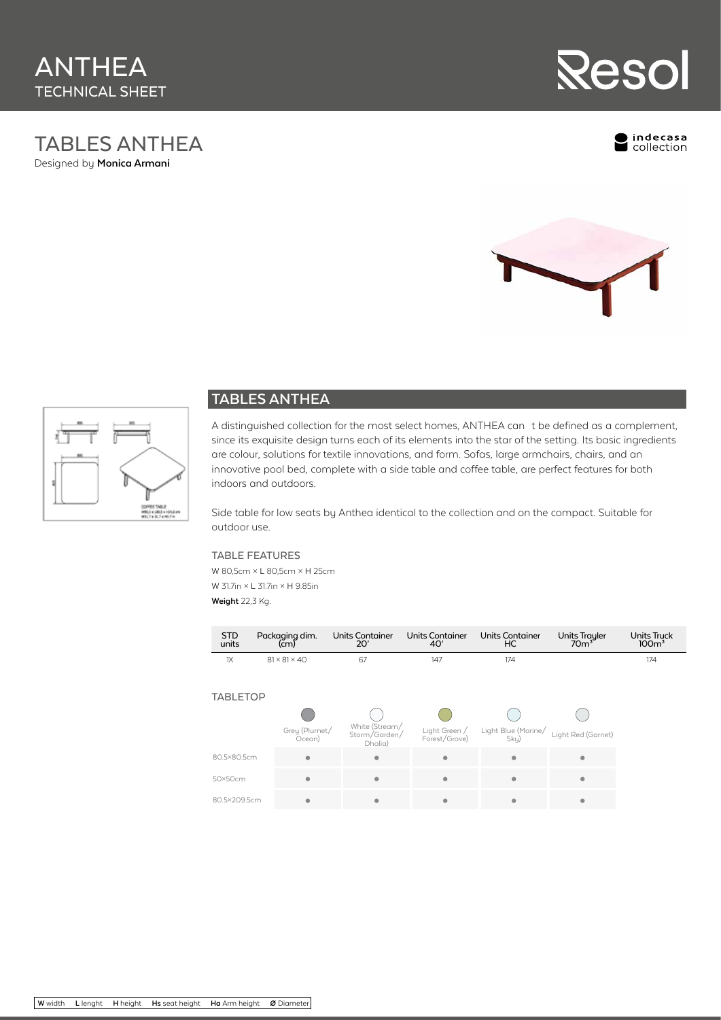## TABLES ANTHEA Designed by **Monica Armani**



ndecasa<br>collection





## **TABLES ANTHEA**

A distinguished collection for the most select homes, ANTHEA can t be defined as a complement, since its exquisite design turns each of its elements into the star of the setting. Its basic ingredients are colour, solutions for textile innovations, and form. Sofas, large armchairs, chairs, and an innovative pool bed, complete with a side table and coffee table, are perfect features for both indoors and outdoors.

Side table for low seats by Anthea identical to the collection and on the compact. Suitable for outdoor use.

## TABLE FEATURES

W 80,5cm × L 80,5cm × H 25cm W 31.7in × L 31.7in × H 9.85in **Weight** 22,3 Kg.

| <b>STD</b><br>units | Packaging dim.<br>(cm)   | <b>Units Container</b><br>20'              | <b>Units Container</b><br>40'  | <b>Units Container</b><br>HC | <b>Units Trayler</b><br>70 <sup>3</sup> | <b>Units Truck</b><br>100 <sup>3</sup> |
|---------------------|--------------------------|--------------------------------------------|--------------------------------|------------------------------|-----------------------------------------|----------------------------------------|
| 1X                  | $81 \times 81 \times 40$ | 67                                         | 147                            | 174                          |                                         | 174                                    |
| <b>TABLETOP</b>     |                          |                                            |                                |                              |                                         |                                        |
|                     |                          |                                            |                                |                              |                                         |                                        |
|                     | Grey (Plumet/<br>Ocean)  | White (Stream/<br>Storm/Garden/<br>Dhalia) | Light Green /<br>Forest/Grove) | Light Blue (Marine/<br>Sky)  | Light Red (Garnet)                      |                                        |
| 80.5×80.5cm         | $\bullet$                | ۰                                          | $\bullet$                      | $\bullet$                    | $\bullet$                               |                                        |
| 50×50cm             |                          | $\bullet$                                  | $\bullet$                      | $\bullet$                    | $\bullet$                               |                                        |
| 80.5×209.5cm        | ٠                        | ۰                                          | ۰                              | ٠                            | ۰                                       |                                        |